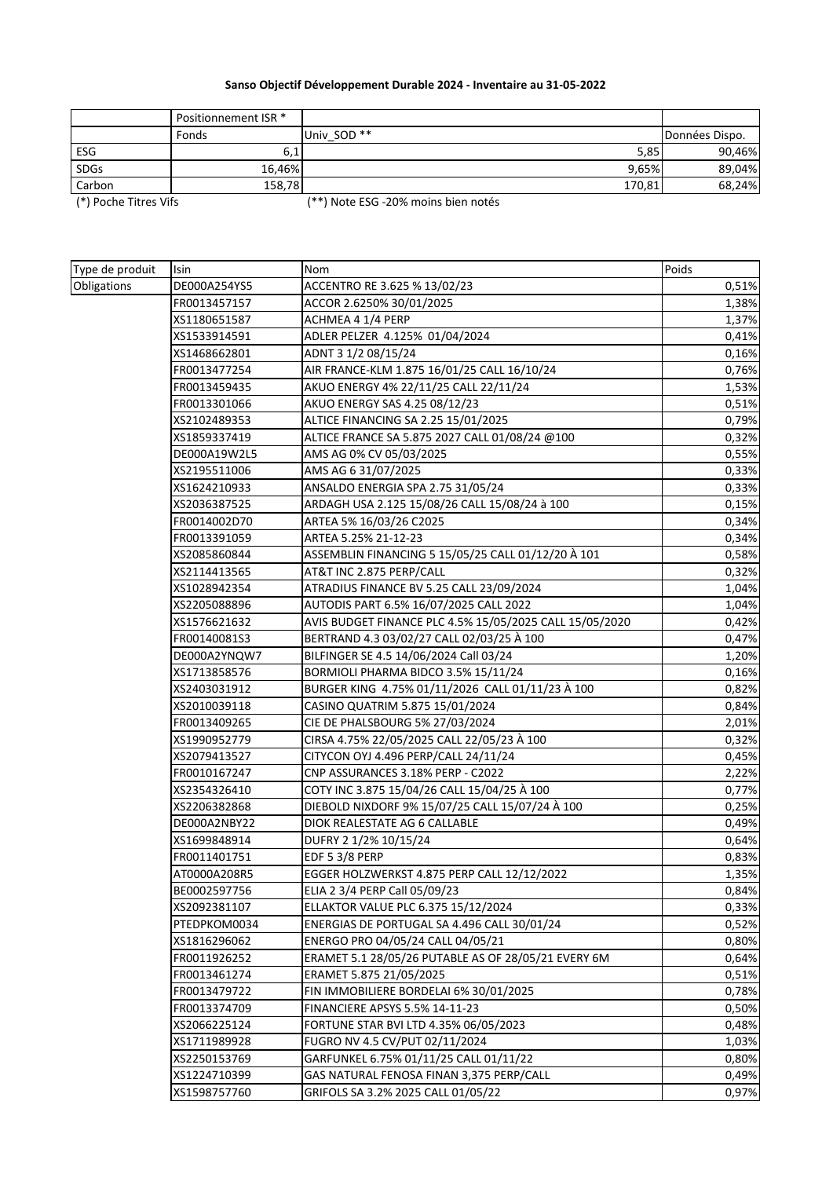## **Sanso Objectif Développement Durable 2024 - Inventaire au 31-05-2022**

|             | Positionnement ISR * |             |                |
|-------------|----------------------|-------------|----------------|
|             | Fonds                | Univ SOD ** | Données Dispo. |
| ESG         | 6,1                  | 5,85        | 90,46%         |
| <b>SDGs</b> | 16,46%               | 9,65%       | 89,04%         |
| Carbon      | 158,78               | 170,81      | 68,24%         |

(\*) Poche Titres Vifs (\*\*) Note ESG -20% moins bien notés

| Type de produit | Isin         | Nom                                                     | Poids |
|-----------------|--------------|---------------------------------------------------------|-------|
| Obligations     | DE000A254YS5 | ACCENTRO RE 3.625 % 13/02/23                            | 0,51% |
|                 | FR0013457157 | ACCOR 2.6250% 30/01/2025                                | 1,38% |
|                 | XS1180651587 | ACHMEA 4 1/4 PERP                                       | 1,37% |
|                 | XS1533914591 | ADLER PELZER 4.125% 01/04/2024                          | 0,41% |
|                 | XS1468662801 | ADNT 3 1/2 08/15/24                                     | 0,16% |
|                 | FR0013477254 | AIR FRANCE-KLM 1.875 16/01/25 CALL 16/10/24             | 0,76% |
|                 | FR0013459435 | AKUO ENERGY 4% 22/11/25 CALL 22/11/24                   | 1,53% |
|                 | FR0013301066 | AKUO ENERGY SAS 4.25 08/12/23                           | 0,51% |
|                 | XS2102489353 | ALTICE FINANCING SA 2.25 15/01/2025                     | 0,79% |
|                 | XS1859337419 | ALTICE FRANCE SA 5.875 2027 CALL 01/08/24 @100          | 0,32% |
|                 | DE000A19W2L5 | AMS AG 0% CV 05/03/2025                                 | 0,55% |
|                 | XS2195511006 | AMS AG 6 31/07/2025                                     | 0,33% |
|                 | XS1624210933 | ANSALDO ENERGIA SPA 2.75 31/05/24                       | 0,33% |
|                 | XS2036387525 | ARDAGH USA 2.125 15/08/26 CALL 15/08/24 à 100           | 0,15% |
|                 | FR0014002D70 | ARTEA 5% 16/03/26 C2025                                 | 0,34% |
|                 | FR0013391059 | ARTEA 5.25% 21-12-23                                    | 0,34% |
|                 | XS2085860844 | ASSEMBLIN FINANCING 5 15/05/25 CALL 01/12/20 À 101      | 0,58% |
|                 | XS2114413565 | AT&T INC 2.875 PERP/CALL                                | 0,32% |
|                 | XS1028942354 | ATRADIUS FINANCE BV 5.25 CALL 23/09/2024                | 1,04% |
|                 | XS2205088896 | AUTODIS PART 6.5% 16/07/2025 CALL 2022                  | 1,04% |
|                 | XS1576621632 | AVIS BUDGET FINANCE PLC 4.5% 15/05/2025 CALL 15/05/2020 | 0,42% |
|                 | FR00140081S3 | BERTRAND 4.3 03/02/27 CALL 02/03/25 À 100               | 0,47% |
|                 | DE000A2YNQW7 | BILFINGER SE 4.5 14/06/2024 Call 03/24                  | 1,20% |
|                 | XS1713858576 | BORMIOLI PHARMA BIDCO 3.5% 15/11/24                     | 0,16% |
|                 | XS2403031912 | BURGER KING 4.75% 01/11/2026 CALL 01/11/23 À 100        | 0,82% |
|                 | XS2010039118 | CASINO QUATRIM 5.875 15/01/2024                         | 0,84% |
|                 | FR0013409265 | CIE DE PHALSBOURG 5% 27/03/2024                         | 2,01% |
|                 | XS1990952779 | CIRSA 4.75% 22/05/2025 CALL 22/05/23 À 100              | 0,32% |
|                 | XS2079413527 | CITYCON OYJ 4.496 PERP/CALL 24/11/24                    | 0,45% |
|                 | FR0010167247 | CNP ASSURANCES 3.18% PERP - C2022                       | 2,22% |
|                 | XS2354326410 | COTY INC 3.875 15/04/26 CALL 15/04/25 À 100             | 0,77% |
|                 | XS2206382868 | DIEBOLD NIXDORF 9% 15/07/25 CALL 15/07/24 A 100         | 0,25% |
|                 | DE000A2NBY22 | DIOK REALESTATE AG 6 CALLABLE                           | 0,49% |
|                 | XS1699848914 | DUFRY 2 1/2% 10/15/24                                   | 0,64% |
|                 | FR0011401751 | EDF 5 3/8 PERP                                          | 0,83% |
|                 | AT0000A208R5 | EGGER HOLZWERKST 4.875 PERP CALL 12/12/2022             | 1,35% |
|                 | BE0002597756 | ELIA 2 3/4 PERP Call 05/09/23                           | 0,84% |
|                 | XS2092381107 | ELLAKTOR VALUE PLC 6.375 15/12/2024                     | 0,33% |
|                 | PTEDPKOM0034 | ENERGIAS DE PORTUGAL SA 4.496 CALL 30/01/24             | 0,52% |
|                 | XS1816296062 | ENERGO PRO 04/05/24 CALL 04/05/21                       | 0,80% |
|                 | FR0011926252 | ERAMET 5.1 28/05/26 PUTABLE AS OF 28/05/21 EVERY 6M     | 0,64% |
|                 | FR0013461274 | ERAMET 5.875 21/05/2025                                 | 0,51% |
|                 | FR0013479722 | FIN IMMOBILIERE BORDELAI 6% 30/01/2025                  | 0,78% |
|                 | FR0013374709 | <b>FINANCIERE APSYS 5.5% 14-11-23</b>                   | 0,50% |
|                 | XS2066225124 | FORTUNE STAR BVI LTD 4.35% 06/05/2023                   | 0,48% |
|                 | XS1711989928 | FUGRO NV 4.5 CV/PUT 02/11/2024                          | 1,03% |
|                 | XS2250153769 | GARFUNKEL 6.75% 01/11/25 CALL 01/11/22                  | 0,80% |
|                 | XS1224710399 | GAS NATURAL FENOSA FINAN 3,375 PERP/CALL                | 0,49% |
|                 | XS1598757760 | GRIFOLS SA 3.2% 2025 CALL 01/05/22                      | 0,97% |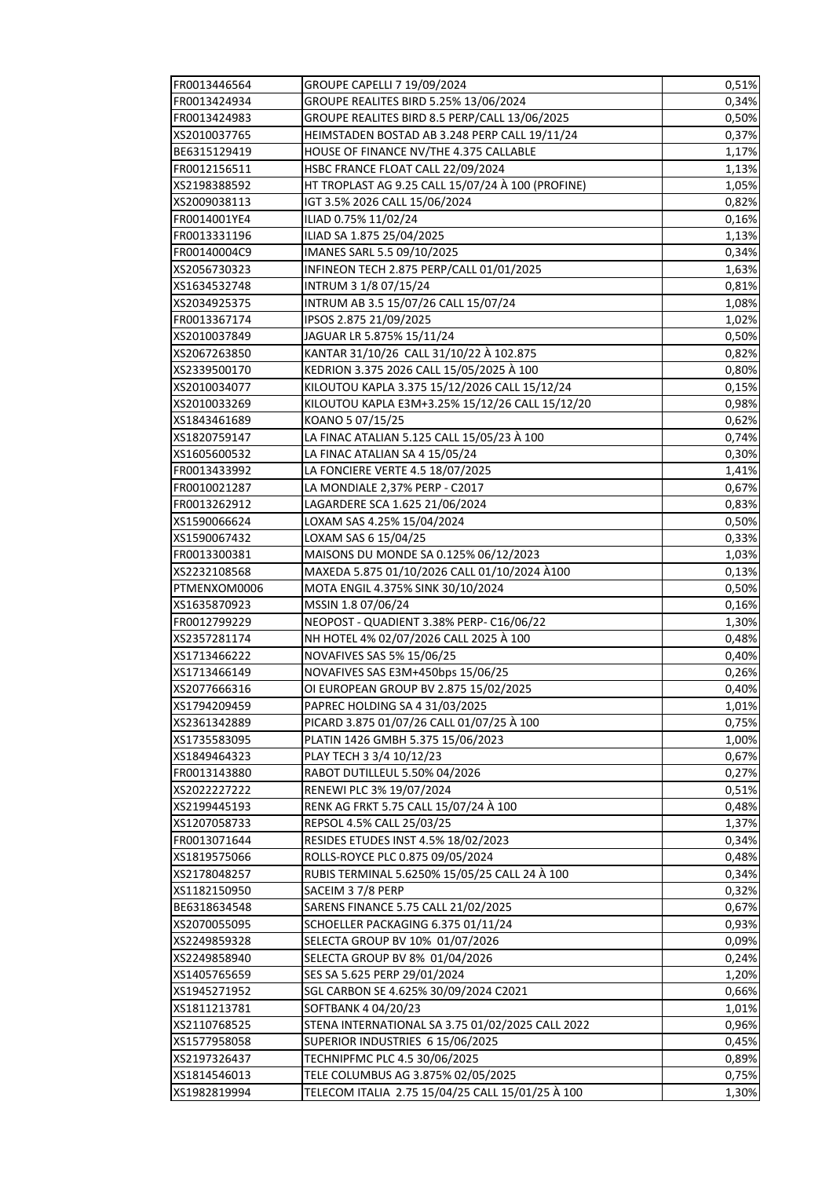| FR0013446564 | GROUPE CAPELLI 7 19/09/2024                       | 0,51% |
|--------------|---------------------------------------------------|-------|
| FR0013424934 | GROUPE REALITES BIRD 5.25% 13/06/2024             | 0,34% |
| FR0013424983 | GROUPE REALITES BIRD 8.5 PERP/CALL 13/06/2025     | 0,50% |
| XS2010037765 | HEIMSTADEN BOSTAD AB 3.248 PERP CALL 19/11/24     | 0,37% |
| BE6315129419 | HOUSE OF FINANCE NV/THE 4.375 CALLABLE            | 1,17% |
| FR0012156511 | HSBC FRANCE FLOAT CALL 22/09/2024                 | 1,13% |
| XS2198388592 | HT TROPLAST AG 9.25 CALL 15/07/24 À 100 (PROFINE) | 1,05% |
| XS2009038113 | IGT 3.5% 2026 CALL 15/06/2024                     | 0,82% |
| FR0014001YE4 | ILIAD 0.75% 11/02/24                              | 0,16% |
| FR0013331196 | ILIAD SA 1.875 25/04/2025                         | 1,13% |
| FR00140004C9 | IMANES SARL 5.5 09/10/2025                        | 0,34% |
| XS2056730323 | INFINEON TECH 2.875 PERP/CALL 01/01/2025          | 1,63% |
| XS1634532748 | INTRUM 3 1/8 07/15/24                             | 0,81% |
| XS2034925375 | INTRUM AB 3.5 15/07/26 CALL 15/07/24              | 1,08% |
| FR0013367174 | IPSOS 2.875 21/09/2025                            | 1,02% |
| XS2010037849 | JAGUAR LR 5.875% 15/11/24                         | 0,50% |
| XS2067263850 | KANTAR 31/10/26 CALL 31/10/22 À 102.875           | 0,82% |
| XS2339500170 | KEDRION 3.375 2026 CALL 15/05/2025 À 100          | 0,80% |
| XS2010034077 | KILOUTOU KAPLA 3.375 15/12/2026 CALL 15/12/24     | 0,15% |
| XS2010033269 | KILOUTOU KAPLA E3M+3.25% 15/12/26 CALL 15/12/20   | 0,98% |
| XS1843461689 | KOANO 5 07/15/25                                  | 0,62% |
| XS1820759147 | LA FINAC ATALIAN 5.125 CALL 15/05/23 À 100        | 0,74% |
| XS1605600532 | LA FINAC ATALIAN SA 4 15/05/24                    | 0,30% |
|              |                                                   |       |
| FR0013433992 | LA FONCIERE VERTE 4.5 18/07/2025                  | 1,41% |
| FR0010021287 | LA MONDIALE 2,37% PERP - C2017                    | 0,67% |
| FR0013262912 | LAGARDERE SCA 1.625 21/06/2024                    | 0,83% |
| XS1590066624 | LOXAM SAS 4.25% 15/04/2024                        | 0,50% |
| XS1590067432 | LOXAM SAS 6 15/04/25                              | 0,33% |
| FR0013300381 | MAISONS DU MONDE SA 0.125% 06/12/2023             | 1,03% |
| XS2232108568 | MAXEDA 5.875 01/10/2026 CALL 01/10/2024 A100      | 0,13% |
| PTMENXOM0006 | MOTA ENGIL 4.375% SINK 30/10/2024                 | 0,50% |
| XS1635870923 | MSSIN 1.8 07/06/24                                | 0,16% |
| FR0012799229 | NEOPOST - QUADIENT 3.38% PERP- C16/06/22          | 1,30% |
| XS2357281174 | NH HOTEL 4% 02/07/2026 CALL 2025 À 100            | 0,48% |
| XS1713466222 | NOVAFIVES SAS 5% 15/06/25                         | 0,40% |
| XS1713466149 | NOVAFIVES SAS E3M+450bps 15/06/25                 | 0,26% |
| XS2077666316 | OI EUROPEAN GROUP BV 2.875 15/02/2025             | 0,40% |
| XS1794209459 | PAPREC HOLDING SA 4 31/03/2025                    | 1,01% |
| XS2361342889 | PICARD 3.875 01/07/26 CALL 01/07/25 A 100         | 0,75% |
| XS1735583095 | PLATIN 1426 GMBH 5.375 15/06/2023                 | 1,00% |
| XS1849464323 | PLAY TECH 3 3/4 10/12/23                          | 0,67% |
| FR0013143880 | RABOT DUTILLEUL 5.50% 04/2026                     | 0,27% |
| XS2022227222 | RENEWI PLC 3% 19/07/2024                          | 0,51% |
| XS2199445193 | RENK AG FRKT 5.75 CALL 15/07/24 À 100             | 0,48% |
| XS1207058733 | REPSOL 4.5% CALL 25/03/25                         | 1,37% |
| FR0013071644 | RESIDES ETUDES INST 4.5% 18/02/2023               | 0,34% |
| XS1819575066 | ROLLS-ROYCE PLC 0.875 09/05/2024                  | 0,48% |
| XS2178048257 | RUBIS TERMINAL 5.6250% 15/05/25 CALL 24 A 100     | 0,34% |
| XS1182150950 | SACEIM 37/8 PERP                                  | 0,32% |
| BE6318634548 | SARENS FINANCE 5.75 CALL 21/02/2025               | 0,67% |
| XS2070055095 | SCHOELLER PACKAGING 6.375 01/11/24                | 0,93% |
| XS2249859328 | SELECTA GROUP BV 10% 01/07/2026                   | 0,09% |
| XS2249858940 | SELECTA GROUP BV 8% 01/04/2026                    | 0,24% |
| XS1405765659 | SES SA 5.625 PERP 29/01/2024                      | 1,20% |
| XS1945271952 | SGL CARBON SE 4.625% 30/09/2024 C2021             | 0,66% |
| XS1811213781 | SOFTBANK 4 04/20/23                               | 1,01% |
| XS2110768525 | STENA INTERNATIONAL SA 3.75 01/02/2025 CALL 2022  | 0,96% |
| XS1577958058 | SUPERIOR INDUSTRIES 6 15/06/2025                  | 0,45% |
| XS2197326437 | TECHNIPFMC PLC 4.5 30/06/2025                     | 0,89% |
| XS1814546013 | TELE COLUMBUS AG 3.875% 02/05/2025                | 0,75% |
| XS1982819994 | TELECOM ITALIA 2.75 15/04/25 CALL 15/01/25 À 100  | 1,30% |